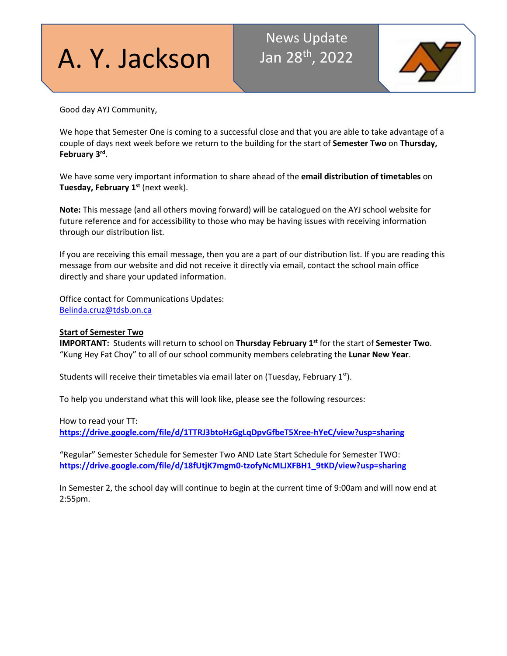# A. Y. Jackson

# News Update Jan 28th, 2022



Good day AYJ Community,

We hope that Semester One is coming to a successful close and that you are able to take advantage of a couple of days next week before we return to the building for the start of **Semester Two** on **Thursday, February 3rd.**

We have some very important information to share ahead of the **email distribution of timetables** on **Tuesday, February 1st** (next week).

**Note:** This message (and all others moving forward) will be catalogued on the AYJ school website for future reference and for accessibility to those who may be having issues with receiving information through our distribution list.

If you are receiving this email message, then you are a part of our distribution list. If you are reading this message from our website and did not receive it directly via email, contact the school main office directly and share your updated information.

Office contact for Communications Updates: [Belinda.cruz@tdsb.on.ca](mailto:Belinda.cruz@tdsb.on.ca)

# **Start of Semester Two**

**IMPORTANT:** Students will return to school on **Thursday February 1st** for the start of **Semester Two**. "Kung Hey Fat Choy" to all of our school community members celebrating the **Lunar New Year**.

Students will receive their timetables via email later on (Tuesday, February  $1<sup>st</sup>$ ).

To help you understand what this will look like, please see the following resources:

How to read your TT:

**<https://drive.google.com/file/d/1TTRJ3btoHzGgLqDpvGfbeT5Xree-hYeC/view?usp=sharing>**

"Regular" Semester Schedule for Semester Two AND Late Start Schedule for Semester TWO: **[https://drive.google.com/file/d/18fUtjK7mgm0-tzofyNcMLJXFBH1\\_9tKD/view?usp=sharing](https://drive.google.com/file/d/18fUtjK7mgm0-tzofyNcMLJXFBH1_9tKD/view?usp=sharing)**

In Semester 2, the school day will continue to begin at the current time of 9:00am and will now end at 2:55pm.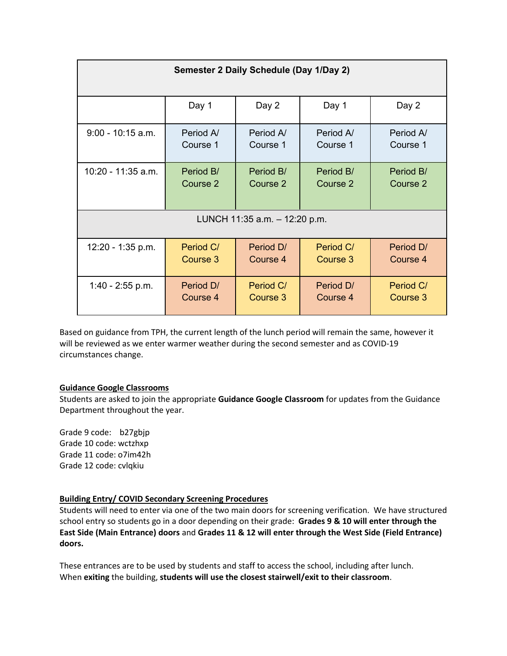| Semester 2 Daily Schedule (Day 1/Day 2) |           |           |           |           |
|-----------------------------------------|-----------|-----------|-----------|-----------|
|                                         | Day 1     | Day 2     | Day 1     | Day 2     |
| $9:00 - 10:15$ a.m.                     | Period A  | Period A  | Period A  | Period A/ |
|                                         | Course 1  | Course 1  | Course 1  | Course 1  |
| 10:20 - 11:35 a.m.                      | Period B/ | Period B/ | Period B/ | Period B/ |
|                                         | Course 2  | Course 2  | Course 2  | Course 2  |
| LUNCH 11:35 a.m. - 12:20 p.m.           |           |           |           |           |
| 12:20 - 1:35 p.m.                       | Period C/ | Period D/ | Period C/ | Period D/ |
|                                         | Course 3  | Course 4  | Course 3  | Course 4  |
| 1:40 - 2:55 p.m.                        | Period D/ | Period C/ | Period D/ | Period C/ |
|                                         | Course 4  | Course 3  | Course 4  | Course 3  |

Based on guidance from TPH, the current length of the lunch period will remain the same, however it will be reviewed as we enter warmer weather during the second semester and as COVID-19 circumstances change.

# **Guidance Google Classrooms**

Students are asked to join the appropriate **Guidance Google Classroom** for updates from the Guidance Department throughout the year.

Grade 9 code: b27gbjp Grade 10 code: wctzhxp Grade 11 code: o7im42h Grade 12 code: cvlqkiu

# **Building Entry/ COVID Secondary Screening Procedures**

Students will need to enter via one of the two main doors for screening verification. We have structured school entry so students go in a door depending on their grade: **Grades 9 & 10 will enter through the East Side (Main Entrance) doors** and **Grades 11 & 12 will enter through the West Side (Field Entrance) doors.**

These entrances are to be used by students and staff to access the school, including after lunch. When **exiting** the building, **students will use the closest stairwell/exit to their classroom**.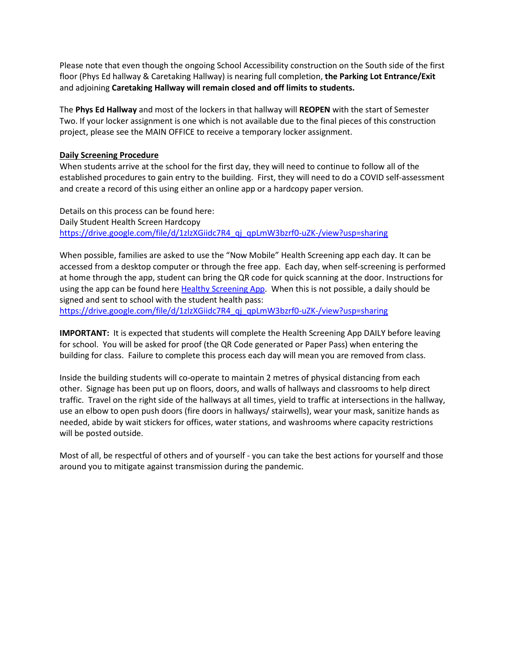Please note that even though the ongoing School Accessibility construction on the South side of the first floor (Phys Ed hallway & Caretaking Hallway) is nearing full completion, **the Parking Lot Entrance/Exit** and adjoining **Caretaking Hallway will remain closed and off limits to students.**

The **Phys Ed Hallway** and most of the lockers in that hallway will **REOPEN** with the start of Semester Two. If your locker assignment is one which is not available due to the final pieces of this construction project, please see the MAIN OFFICE to receive a temporary locker assignment.

# **Daily Screening Procedure**

When students arrive at the school for the first day, they will need to continue to follow all of the established procedures to gain entry to the building. First, they will need to do a COVID self-assessment and create a record of this using either an online app or a hardcopy paper version.

Details on this process can be found here: Daily Student Health Screen Hardcopy [https://drive.google.com/file/d/1zlzXGiidc7R4\\_qj\\_qpLmW3bzrf0-uZK-/view?usp=sharing](https://drive.google.com/file/d/1zlzXGiidc7R4_qj_qpLmW3bzrf0-uZK-/view?usp=sharing)

When possible, families are asked to use the "Now Mobile" Health Screening app each day. It can be accessed from a desktop computer or through the free app. Each day, when self-screening is performed at home through the app, student can bring the QR code for quick scanning at the door. Instructions for using the app can be found here **Healthy Screening App.** When this is not possible, a daily should be signed and sent to school with the student health pass: [https://drive.google.com/file/d/1zlzXGiidc7R4\\_qj\\_qpLmW3bzrf0-uZK-/view?usp=sharing](https://drive.google.com/file/d/1zlzXGiidc7R4_qj_qpLmW3bzrf0-uZK-/view?usp=sharing)

**IMPORTANT:** It is expected that students will complete the Health Screening App DAILY before leaving for school. You will be asked for proof (the QR Code generated or Paper Pass) when entering the building for class. Failure to complete this process each day will mean you are removed from class.

Inside the building students will co-operate to maintain 2 metres of physical distancing from each other. Signage has been put up on floors, doors, and walls of hallways and classrooms to help direct traffic. Travel on the right side of the hallways at all times, yield to traffic at intersections in the hallway, use an elbow to open push doors (fire doors in hallways/ stairwells), wear your mask, sanitize hands as needed, abide by wait stickers for offices, water stations, and washrooms where capacity restrictions will be posted outside.

Most of all, be respectful of others and of yourself - you can take the best actions for yourself and those around you to mitigate against transmission during the pandemic.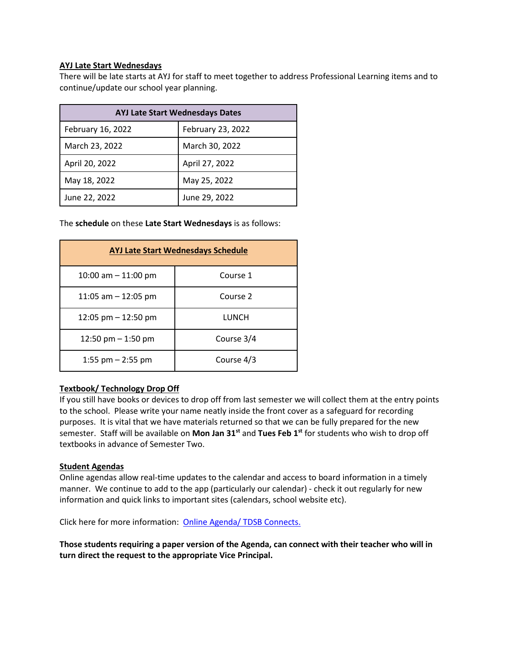# **AYJ Late Start Wednesdays**

There will be late starts at AYJ for staff to meet together to address Professional Learning items and to continue/update our school year planning.

| <b>AYJ Late Start Wednesdays Dates</b> |                   |  |
|----------------------------------------|-------------------|--|
| February 16, 2022                      | February 23, 2022 |  |
| March 23, 2022                         | March 30, 2022    |  |
| April 20, 2022                         | April 27, 2022    |  |
| May 18, 2022                           | May 25, 2022      |  |
| June 22, 2022                          | June 29, 2022     |  |

The **schedule** on these **Late Start Wednesdays** is as follows:

| <b>AYJ Late Start Wednesdays Schedule</b> |            |  |  |
|-------------------------------------------|------------|--|--|
| 10:00 am $-$ 11:00 pm                     | Course 1   |  |  |
| 11:05 am $-$ 12:05 pm                     | Course 2   |  |  |
| 12:05 pm $-$ 12:50 pm                     | LUNCH      |  |  |
| 12:50 pm $-$ 1:50 pm                      | Course 3/4 |  |  |
| 1:55 pm $-$ 2:55 pm                       | Course 4/3 |  |  |

# **Textbook/ Technology Drop Off**

If you still have books or devices to drop off from last semester we will collect them at the entry points to the school. Please write your name neatly inside the front cover as a safeguard for recording purposes. It is vital that we have materials returned so that we can be fully prepared for the new semester. Staff will be available on **Mon Jan 31st** and **Tues Feb 1st** for students who wish to drop off textbooks in advance of Semester Two.

# **Student Agendas**

Online agendas allow real-time updates to the calendar and access to board information in a timely manner. We continue to add to the app (particularly our calendar) - check it out regularly for new information and quick links to important sites (calendars, school website etc).

Click here for more information: [Online Agenda/ TDSB Connects.](http://track.spe.schoolmessenger.com/f/a/jJtotJZE_jNUZrFxYvuqKg%7E%7E/AAAAAQA%7E/RgRhP2I2P0R8aHR0cHM6Ly93d3cudGRzYi5vbi5jYS9OZXdzL0FydGljbGUtRGV0YWlscy9BcnRNSUQvNDc0L0FydGljbGVJRC8xNTEyL1REU0ItQ29ubmVjdHMtQXBwLU5vdy1BdmFpbGFibGUtZm9yLVNlY29uZGFyeS1TdHVkZW50c1cHc2Nob29sbUIKAEe2Ll5fFWMoyVITamZyYXplcjM1QGdtYWlsLmNvbVgEAAAAAg%7E%7E)

**Those students requiring a paper version of the Agenda, can connect with their teacher who will in turn direct the request to the appropriate Vice Principal.**